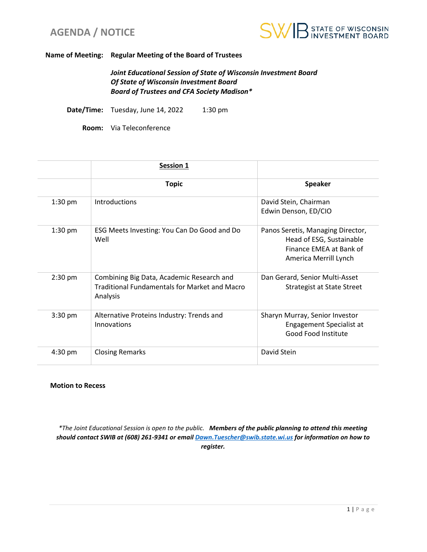



#### **Name of Meeting: Regular Meeting of the Board of Trustees**

*Joint Educational Session of State of Wisconsin Investment Board Of State of Wisconsin Investment Board Board of Trustees and CFA Society Madison\**

**Date/Time:** Tuesday, June 14, 2022 1:30 pm

**Room:** Via Teleconference

|           | <b>Session 1</b>                                                                                              |                                                                                                                   |
|-----------|---------------------------------------------------------------------------------------------------------------|-------------------------------------------------------------------------------------------------------------------|
|           | <b>Topic</b>                                                                                                  | <b>Speaker</b>                                                                                                    |
| $1:30$ pm | Introductions                                                                                                 | David Stein, Chairman<br>Edwin Denson, ED/CIO                                                                     |
| $1:30$ pm | ESG Meets Investing: You Can Do Good and Do<br>Well                                                           | Panos Seretis, Managing Director,<br>Head of ESG, Sustainable<br>Finance EMEA at Bank of<br>America Merrill Lynch |
| 2:30 pm   | Combining Big Data, Academic Research and<br><b>Traditional Fundamentals for Market and Macro</b><br>Analysis | Dan Gerard, Senior Multi-Asset<br><b>Strategist at State Street</b>                                               |
| $3:30$ pm | Alternative Proteins Industry: Trends and<br>Innovations                                                      | Sharyn Murray, Senior Investor<br>Engagement Specialist at<br><b>Good Food Institute</b>                          |
| $4:30$ pm | <b>Closing Remarks</b>                                                                                        | David Stein                                                                                                       |

#### **Motion to Recess**

*\*The Joint Educational Session is open to the public. Members of the public planning to attend this meeting should contact SWIB at (608) 261-9341 or email [Dawn.Tuescher@swib.state.wi.us](mailto:Dawn.Tuescher@swib.state.wi.us) for information on how to register.*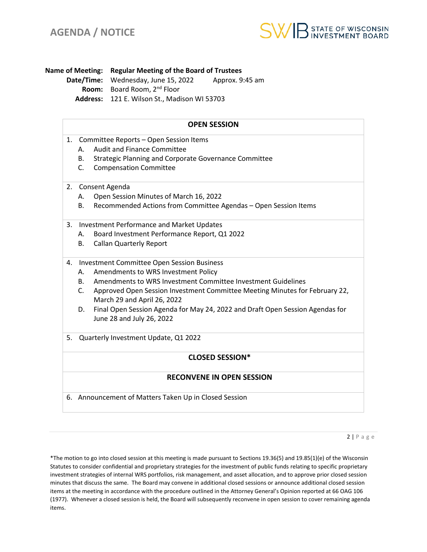

**Name of Meeting: Regular Meeting of the Board of Trustees Date/Time:** Wednesday, June 15, 2022 Approx. 9:45 am **Room:** Board Room, 2nd Floor **Address:** 121 E. Wilson St., Madison WI 53703

## **OPEN SESSION**

- 1. Committee Reports Open Session Items
	- A. Audit and Finance Committee
	- B. Strategic Planning and Corporate Governance Committee
	- C. Compensation Committee
- 2. Consent Agenda
	- A. Open Session Minutes of March 16, 2022
	- B. Recommended Actions from Committee Agendas Open Session Items
- 3. Investment Performance and Market Updates
	- A. Board Investment Performance Report, Q1 2022
	- B. Callan Quarterly Report
- 4. Investment Committee Open Session Business
	- A. Amendments to WRS Investment Policy
	- B. Amendments to WRS Investment Committee Investment Guidelines
	- C. Approved Open Session Investment Committee Meeting Minutes for February 22, March 29 and April 26, 2022
	- D. Final Open Session Agenda for May 24, 2022 and Draft Open Session Agendas for June 28 and July 26, 2022
- 5. Quarterly Investment Update, Q1 2022

## **CLOSED SESSION\***

## **RECONVENE IN OPEN SESSION**

6. Announcement of Matters Taken Up in Closed Session

 $2 | P \text{ a } g \text{ e}$ 

\*The motion to go into closed session at this meeting is made pursuant to Sections 19.36(5) and 19.85(1)(e) of the Wisconsin Statutes to consider confidential and proprietary strategies for the investment of public funds relating to specific proprietary investment strategies of internal WRS portfolios, risk management, and asset allocation, and to approve prior closed session minutes that discuss the same. The Board may convene in additional closed sessions or announce additional closed session items at the meeting in accordance with the procedure outlined in the Attorney General's Opinion reported at 66 OAG 106 (1977). Whenever a closed session is held, the Board will subsequently reconvene in open session to cover remaining agenda items.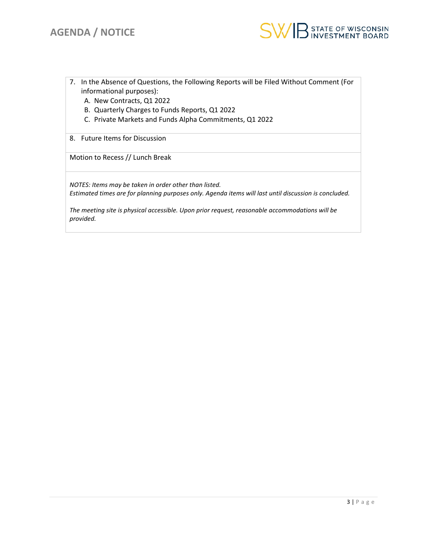

- 7. In the Absence of Questions, the Following Reports will be Filed Without Comment (For informational purposes):
	- A. New Contracts, Q1 2022
	- B. Quarterly Charges to Funds Reports, Q1 2022
	- C. Private Markets and Funds Alpha Commitments, Q1 2022
- 8. Future Items for Discussion

Motion to Recess // Lunch Break

*NOTES: Items may be taken in order other than listed. Estimated times are for planning purposes only. Agenda items will last until discussion is concluded.* 

*The meeting site is physical accessible. Upon prior request, reasonable accommodations will be provided.*